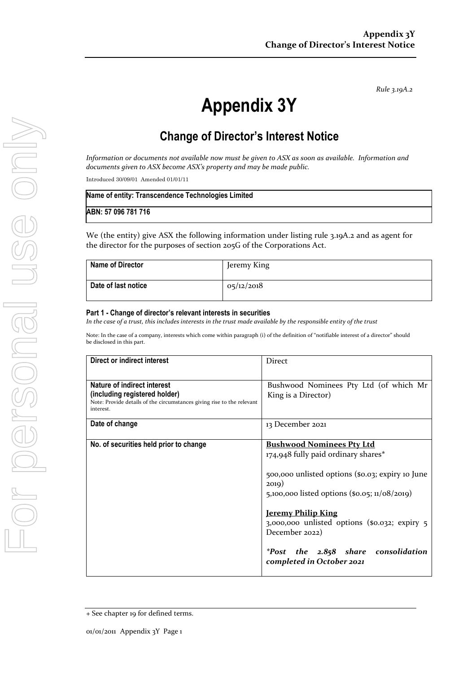*Rule 3.19A.2*

# **Appendix 3Y**

# **Change of Director's Interest Notice**

*Information or documents not available now must be given to ASX as soon as available. Information and documents given to ASX become ASX's property and may be made public.*

Introduced 30/09/01 Amended 01/01/11

| Name of entity: Transcendence Technologies Limited |  |
|----------------------------------------------------|--|
| ABN: 57 096 781 716                                |  |

We (the entity) give ASX the following information under listing rule 3.19A.2 and as agent for the director for the purposes of section 205G of the Corporations Act.

| <b>Name of Director</b> | Jeremy King |
|-------------------------|-------------|
| Date of last notice     | 05/12/2018  |

#### **Part 1 - Change of director's relevant interests in securities**

*In the case of a trust, this includes interests in the trust made available by the responsible entity of the trust*

Note: In the case of a company, interests which come within paragraph (i) of the definition of "notifiable interest of a director" should be disclosed in this part.

| <b>Direct or indirect interest</b>                                                                                                                  | Direct                                                                                                                                                                                                                                                                                                                                                                         |
|-----------------------------------------------------------------------------------------------------------------------------------------------------|--------------------------------------------------------------------------------------------------------------------------------------------------------------------------------------------------------------------------------------------------------------------------------------------------------------------------------------------------------------------------------|
| Nature of indirect interest<br>(including registered holder)<br>Note: Provide details of the circumstances giving rise to the relevant<br>interest. | Bushwood Nominees Pty Ltd (of which Mr<br>King is a Director)                                                                                                                                                                                                                                                                                                                  |
| Date of change                                                                                                                                      | 13 December 2021                                                                                                                                                                                                                                                                                                                                                               |
| No. of securities held prior to change                                                                                                              | <b>Bushwood Nominees Pty Ltd</b><br>174,948 fully paid ordinary shares*<br>500,000 unlisted options (\$0.03; expiry 10 June<br>2019)<br>5,100,000 listed options (\$0.05; $11/08/2019$ )<br><u><b>Jeremy Philip King</b></u><br>$3,000,000$ unlisted options (\$0.032; expiry $5$<br>December 2022)<br><i>*Post the 2.858 share consolidation</i><br>completed in October 2021 |

<sup>+</sup> See chapter 19 for defined terms.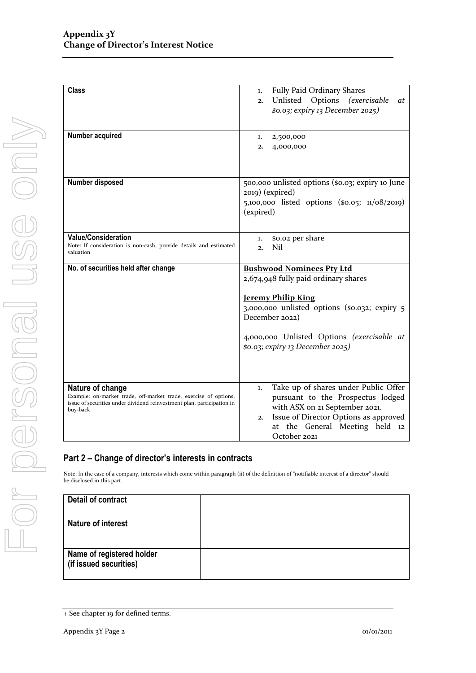| <b>Class</b>                                                           |                                                                         |
|------------------------------------------------------------------------|-------------------------------------------------------------------------|
|                                                                        | Fully Paid Ordinary Shares<br>1.                                        |
|                                                                        | Unlisted Options (exercisable<br><i>at</i><br>2.                        |
|                                                                        | \$0.03; expiry 13 December 2025)                                        |
|                                                                        |                                                                         |
|                                                                        |                                                                         |
| Number acquired                                                        | 2,500,000<br>1.                                                         |
|                                                                        | 4,000,000<br>2.                                                         |
|                                                                        |                                                                         |
|                                                                        |                                                                         |
|                                                                        |                                                                         |
| <b>Number disposed</b>                                                 | 500,000 unlisted options (\$0.03; expiry 10 June                        |
|                                                                        | 2019) (expired)                                                         |
|                                                                        | 5,100,000 listed options (\$0.05; 11/08/2019)                           |
|                                                                        | (expired)                                                               |
|                                                                        |                                                                         |
|                                                                        |                                                                         |
| <b>Value/Consideration</b>                                             | \$0.02 per share<br>1.                                                  |
| Note: If consideration is non-cash, provide details and estimated      | Nil<br>2.                                                               |
| valuation                                                              |                                                                         |
|                                                                        |                                                                         |
| No. of securities held after change                                    | <b>Bushwood Nominees Pty Ltd</b>                                        |
|                                                                        | 2,674,948 fully paid ordinary shares                                    |
|                                                                        |                                                                         |
|                                                                        |                                                                         |
|                                                                        | <b>Jeremy Philip King</b>                                               |
|                                                                        | 3,000,000 unlisted options (\$0.032; expiry 5                           |
|                                                                        | December 2022)                                                          |
|                                                                        |                                                                         |
|                                                                        |                                                                         |
|                                                                        | 4,000,000 Unlisted Options (exercisable at                              |
|                                                                        | \$0.03; expiry 13 December 2025)                                        |
|                                                                        |                                                                         |
|                                                                        |                                                                         |
|                                                                        |                                                                         |
| Nature of change                                                       | Take up of shares under Public Offer<br>1.                              |
| Example: on-market trade, off-market trade, exercise of options,       | pursuant to the Prospectus lodged                                       |
| issue of securities under dividend reinvestment plan, participation in | with ASX on 21 September 2021.                                          |
| buy-back                                                               | 2.                                                                      |
|                                                                        | Issue of Director Options as approved<br>at the General Meeting held 12 |

### **Part 2 – Change of director's interests in contracts**

Note: In the case of a company, interests which come within paragraph (ii) of the definition of "notifiable interest of a director" should be disclosed in this part.

| Detail of contract                                  |  |
|-----------------------------------------------------|--|
| Nature of interest                                  |  |
| Name of registered holder<br>(if issued securities) |  |

<sup>+</sup> See chapter 19 for defined terms.